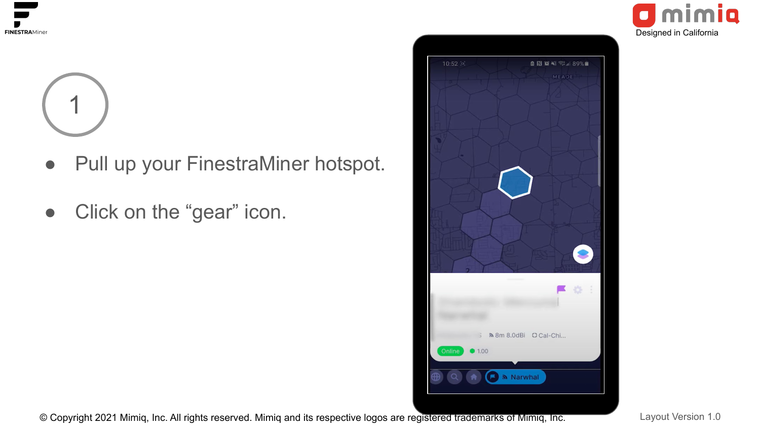



- Pull up your FinestraMiner hotspot.
- Click on the "gear" icon.



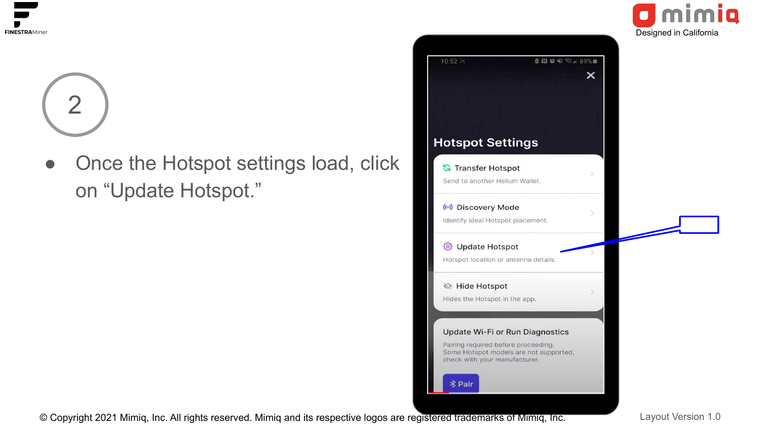

Once the Hotspot settings load, click on "Update Hotspot."





Imimia

 $\blacksquare$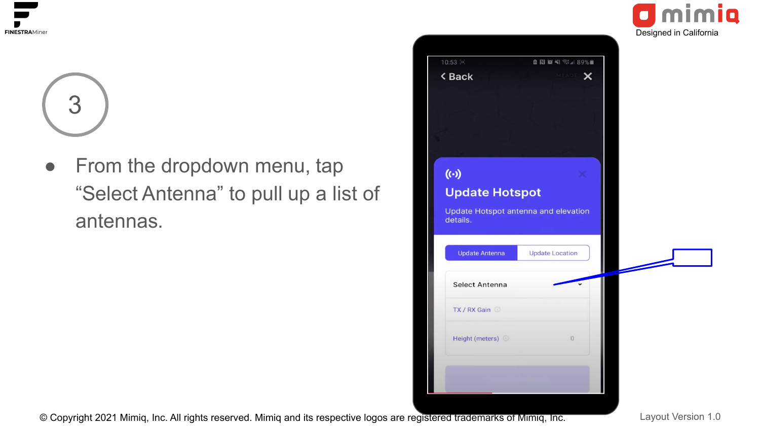

• From the dropdown menu, tap "Select Antenna" to pull up a list of antennas.

|                              |                                      | Designed in California |
|------------------------------|--------------------------------------|------------------------|
| $10:53$ <sup>[c]</sup>       | <b>□ 图 窗 Ni 零 』 89%■</b>             |                        |
| < Back                       | MEADE X                              |                        |
|                              |                                      |                        |
|                              |                                      |                        |
|                              |                                      |                        |
|                              |                                      |                        |
| $(\cdot)$                    |                                      |                        |
| <b>Update Hotspot</b>        |                                      |                        |
|                              | Update Hotspot antenna and elevation |                        |
| details.                     |                                      |                        |
|                              |                                      |                        |
|                              |                                      |                        |
| <b>Update Antenna</b>        | <b>Update Location</b>               |                        |
|                              |                                      |                        |
| <b>Select Antenna</b>        |                                      |                        |
| TX / RX Gain ©               |                                      |                        |
|                              |                                      |                        |
| Height (meters) <sup>1</sup> | $\begin{matrix} 0 \end{matrix}$      |                        |
|                              |                                      |                        |
|                              |                                      |                        |

Imimia

 $\bullet$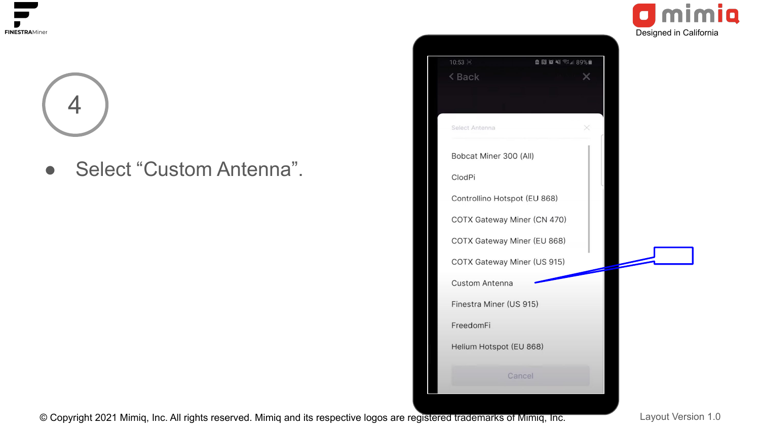

● Select "Custom Antenna".



© Copyright 2021 Mimig, Inc. All rights reserved. Mimig and its respective logos are registered trademarks of Mimig, Inc. Layout Version 1.0

**Imimia** 

 $\bullet$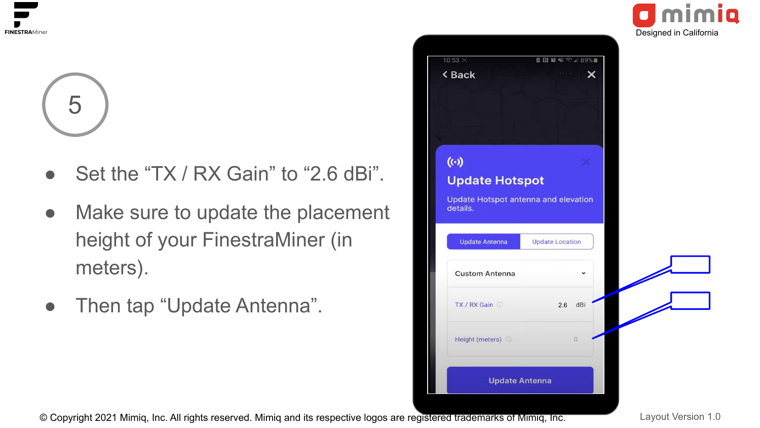

- Set the "TX / RX Gain" to "2.6 dBi".
- Make sure to update the placement height of your FinestraMiner (in meters).
- Then tap "Update Antenna".

| 10:53 回<br>< Back                                | <b>B N 3 ¥ 3 1 89%■</b><br><b>START AND START X</b> |  |
|--------------------------------------------------|-----------------------------------------------------|--|
|                                                  |                                                     |  |
|                                                  |                                                     |  |
|                                                  |                                                     |  |
|                                                  |                                                     |  |
| $(\cdot)$                                        |                                                     |  |
| <b>Update Hotspot</b>                            |                                                     |  |
|                                                  |                                                     |  |
|                                                  |                                                     |  |
| Update Hotspot antenna and elevation<br>details. |                                                     |  |
|                                                  |                                                     |  |
| <b>Update Antenna</b>                            | <b>Update Location</b>                              |  |
|                                                  |                                                     |  |
| <b>Custom Antenna</b>                            |                                                     |  |
|                                                  |                                                     |  |
| $TX/RX$ Gain $\odot$                             | dBi<br>2.6                                          |  |
|                                                  |                                                     |  |
| Height (meters) ©                                | $\mathbf 0$                                         |  |
|                                                  |                                                     |  |

Designed in California

imia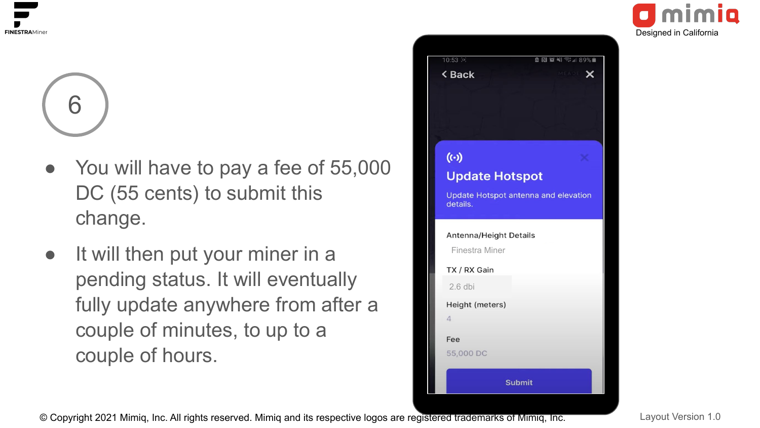

- You will have to pay a fee of 55,000 DC (55 cents) to submit this change.
- It will then put your miner in a pending status. It will eventually fully update anywhere from after a couple of minutes, to up to a couple of hours.





© Copyright 2021 Mimig, Inc. All rights reserved. Mimig and its respective logos are registered trademarks of Mimig, Inc. Layout Version 1.0